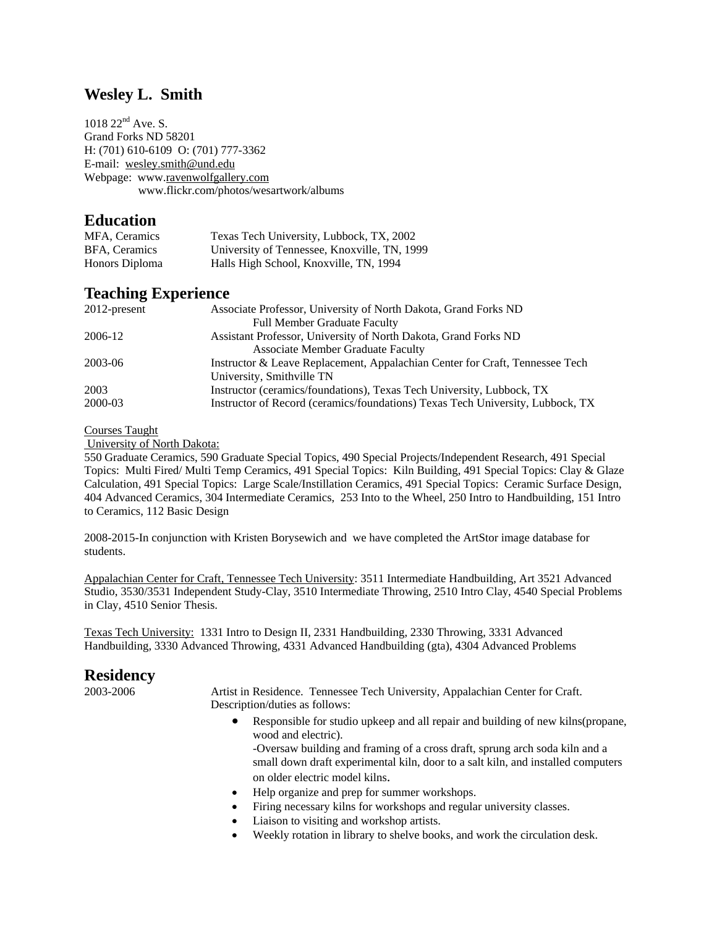### **Wesley L. Smith**

1018 22<sup>nd</sup> Ave. S. Grand Forks ND 58201 H: (701) 610-6109 O: (701) 777-3362 E-mail: wesley.smith@und.edu Webpage: www.ravenwolfgallery.com www.flickr.com/photos/wesartwork/albums

### **Education**

| MFA, Ceramics        | Texas Tech University, Lubbock, TX, 2002     |
|----------------------|----------------------------------------------|
| <b>BFA.</b> Ceramics | University of Tennessee, Knoxville, TN, 1999 |
| Honors Diploma       | Halls High School, Knoxville, TN, 1994       |

### **Teaching Experience**

| $2012$ -present | Associate Professor, University of North Dakota, Grand Forks ND                |
|-----------------|--------------------------------------------------------------------------------|
|                 | <b>Full Member Graduate Faculty</b>                                            |
| 2006-12         | Assistant Professor, University of North Dakota, Grand Forks ND                |
|                 | <b>Associate Member Graduate Faculty</b>                                       |
| 2003-06         | Instructor & Leave Replacement, Appalachian Center for Craft, Tennessee Tech   |
|                 | University, Smithville TN                                                      |
| 2003            | Instructor (ceramics/foundations), Texas Tech University, Lubbock, TX          |
| 2000-03         | Instructor of Record (ceramics/foundations) Texas Tech University, Lubbock, TX |

#### Courses Taught

University of North Dakota:

550 Graduate Ceramics, 590 Graduate Special Topics, 490 Special Projects/Independent Research, 491 Special Topics: Multi Fired/ Multi Temp Ceramics, 491 Special Topics: Kiln Building, 491 Special Topics: Clay & Glaze Calculation, 491 Special Topics: Large Scale/Instillation Ceramics, 491 Special Topics: Ceramic Surface Design, 404 Advanced Ceramics, 304 Intermediate Ceramics, 253 Into to the Wheel, 250 Intro to Handbuilding, 151 Intro to Ceramics, 112 Basic Design

2008-2015-In conjunction with Kristen Borysewich and we have completed the ArtStor image database for students.

Appalachian Center for Craft, Tennessee Tech University: 3511 Intermediate Handbuilding, Art 3521 Advanced Studio, 3530/3531 Independent Study-Clay, 3510 Intermediate Throwing, 2510 Intro Clay, 4540 Special Problems in Clay, 4510 Senior Thesis.

Texas Tech University: 1331 Intro to Design II, 2331 Handbuilding, 2330 Throwing, 3331 Advanced Handbuilding, 3330 Advanced Throwing, 4331 Advanced Handbuilding (gta), 4304 Advanced Problems

### **Residency**

2003-2006 Artist in Residence. Tennessee Tech University, Appalachian Center for Craft. Description/duties as follows:

> Responsible for studio upkeep and all repair and building of new kilns(propane, wood and electric).

-Oversaw building and framing of a cross draft, sprung arch soda kiln and a small down draft experimental kiln, door to a salt kiln, and installed computers on older electric model kilns.

- Help organize and prep for summer workshops.
- Firing necessary kilns for workshops and regular university classes.
- Liaison to visiting and workshop artists.
- Weekly rotation in library to shelve books, and work the circulation desk.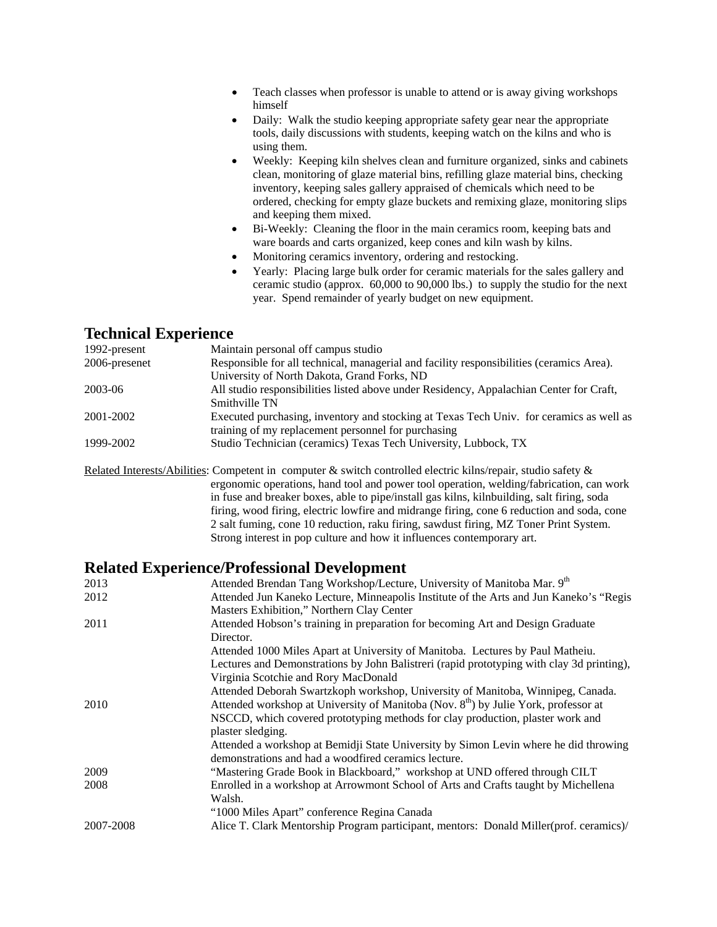- Teach classes when professor is unable to attend or is away giving workshops himself
- Daily: Walk the studio keeping appropriate safety gear near the appropriate tools, daily discussions with students, keeping watch on the kilns and who is using them.
- Weekly: Keeping kiln shelves clean and furniture organized, sinks and cabinets clean, monitoring of glaze material bins, refilling glaze material bins, checking inventory, keeping sales gallery appraised of chemicals which need to be ordered, checking for empty glaze buckets and remixing glaze, monitoring slips and keeping them mixed.
- Bi-Weekly: Cleaning the floor in the main ceramics room, keeping bats and ware boards and carts organized, keep cones and kiln wash by kilns.
- Monitoring ceramics inventory, ordering and restocking.
- Yearly: Placing large bulk order for ceramic materials for the sales gallery and ceramic studio (approx. 60,000 to 90,000 lbs.) to supply the studio for the next year. Spend remainder of yearly budget on new equipment.

### **Technical Experience**

| 1992-present  | Maintain personal off campus studio                                                                                                            |
|---------------|------------------------------------------------------------------------------------------------------------------------------------------------|
| 2006-presenet | Responsible for all technical, managerial and facility responsibilities (ceramics Area).                                                       |
|               | University of North Dakota, Grand Forks, ND                                                                                                    |
| 2003-06       | All studio responsibilities listed above under Residency, Appalachian Center for Craft,                                                        |
|               | Smithville TN                                                                                                                                  |
| 2001-2002     | Executed purchasing, inventory and stocking at Texas Tech Univ. for ceramics as well as<br>training of my replacement personnel for purchasing |
| 1999-2002     | Studio Technician (ceramics) Texas Tech University, Lubbock, TX                                                                                |
|               |                                                                                                                                                |

Related Interests/Abilities: Competent in computer & switch controlled electric kilns/repair, studio safety & ergonomic operations, hand tool and power tool operation, welding/fabrication, can work in fuse and breaker boxes, able to pipe/install gas kilns, kilnbuilding, salt firing, soda firing, wood firing, electric lowfire and midrange firing, cone 6 reduction and soda, cone 2 salt fuming, cone 10 reduction, raku firing, sawdust firing, MZ Toner Print System. Strong interest in pop culture and how it influences contemporary art.

### **Related Experience/Professional Development**

| 2013      | Attended Brendan Tang Workshop/Lecture, University of Manitoba Mar. 9th                         |
|-----------|-------------------------------------------------------------------------------------------------|
| 2012      | Attended Jun Kaneko Lecture, Minneapolis Institute of the Arts and Jun Kaneko's "Regis          |
|           | Masters Exhibition," Northern Clay Center                                                       |
| 2011      | Attended Hobson's training in preparation for becoming Art and Design Graduate                  |
|           | Director.                                                                                       |
|           | Attended 1000 Miles Apart at University of Manitoba. Lectures by Paul Matheiu.                  |
|           | Lectures and Demonstrations by John Balistreri (rapid prototyping with clay 3d printing),       |
|           | Virginia Scotchie and Rory MacDonald                                                            |
|           | Attended Deborah Swartzkoph workshop, University of Manitoba, Winnipeg, Canada.                 |
| 2010      | Attended workshop at University of Manitoba (Nov. 8 <sup>th</sup> ) by Julie York, professor at |
|           | NSCCD, which covered prototyping methods for clay production, plaster work and                  |
|           | plaster sledging.                                                                               |
|           | Attended a workshop at Bemidji State University by Simon Levin where he did throwing            |
|           | demonstrations and had a woodfired ceramics lecture.                                            |
| 2009      | "Mastering Grade Book in Blackboard," workshop at UND offered through CILT                      |
| 2008      | Enrolled in a workshop at Arrowmont School of Arts and Crafts taught by Michellena              |
|           | Walsh.                                                                                          |
|           | "1000 Miles Apart" conference Regina Canada                                                     |
| 2007-2008 | Alice T. Clark Mentorship Program participant, mentors: Donald Miller(prof. ceramics)/          |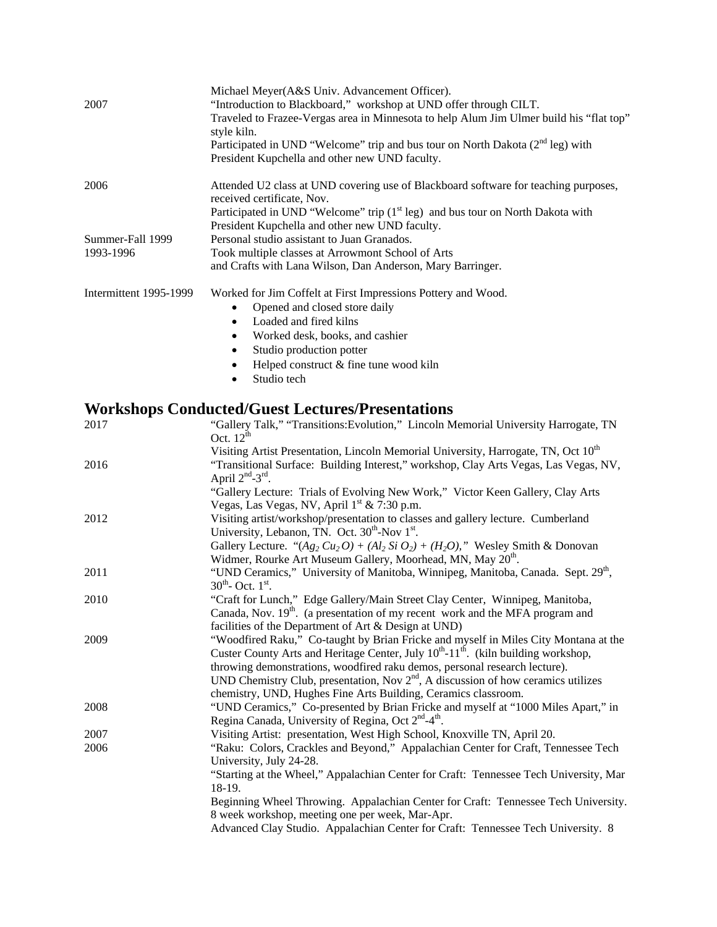| 2007                   | Michael Meyer(A&S Univ. Advancement Officer).<br>"Introduction to Blackboard," workshop at UND offer through CILT.<br>Traveled to Frazee-Vergas area in Minnesota to help Alum Jim Ulmer build his "flat top"<br>style kiln.<br>Participated in UND "Welcome" trip and bus tour on North Dakota (2 <sup>nd</sup> leg) with<br>President Kupchella and other new UND faculty. |
|------------------------|------------------------------------------------------------------------------------------------------------------------------------------------------------------------------------------------------------------------------------------------------------------------------------------------------------------------------------------------------------------------------|
| 2006                   | Attended U2 class at UND covering use of Blackboard software for teaching purposes,<br>received certificate, Nov.                                                                                                                                                                                                                                                            |
|                        | Participated in UND "Welcome" trip $(1st \text{ leg})$ and bus tour on North Dakota with<br>President Kupchella and other new UND faculty.                                                                                                                                                                                                                                   |
| Summer-Fall 1999       | Personal studio assistant to Juan Granados.                                                                                                                                                                                                                                                                                                                                  |
| 1993-1996              | Took multiple classes at Arrowmont School of Arts                                                                                                                                                                                                                                                                                                                            |
|                        | and Crafts with Lana Wilson, Dan Anderson, Mary Barringer.                                                                                                                                                                                                                                                                                                                   |
| Intermittent 1995-1999 | Worked for Jim Coffelt at First Impressions Pottery and Wood.                                                                                                                                                                                                                                                                                                                |
|                        | Opened and closed store daily                                                                                                                                                                                                                                                                                                                                                |
|                        | Loaded and fired kilns<br>$\bullet$                                                                                                                                                                                                                                                                                                                                          |
|                        | Worked desk, books, and cashier<br>٠                                                                                                                                                                                                                                                                                                                                         |
|                        | Studio production potter<br>٠                                                                                                                                                                                                                                                                                                                                                |
|                        | Helped construct & fine tune wood kiln                                                                                                                                                                                                                                                                                                                                       |
|                        | Studio tech<br>$\bullet$                                                                                                                                                                                                                                                                                                                                                     |
|                        |                                                                                                                                                                                                                                                                                                                                                                              |

# **Workshops Conducted/Guest Lectures/Presentations**

| 2017 | "Gallery Talk," "Transitions: Evolution," Lincoln Memorial University Harrogate, TN                         |
|------|-------------------------------------------------------------------------------------------------------------|
|      | Oct. $12^{th}$                                                                                              |
|      | Visiting Artist Presentation, Lincoln Memorial University, Harrogate, TN, Oct 10 <sup>th</sup>              |
| 2016 | "Transitional Surface: Building Interest," workshop, Clay Arts Vegas, Las Vegas, NV,<br>April $2nd - 3rd$ . |
|      | "Gallery Lecture: Trials of Evolving New Work," Victor Keen Gallery, Clay Arts                              |
|      | Vegas, Las Vegas, NV, April 1 <sup>st</sup> & 7:30 p.m.                                                     |
| 2012 | Visiting artist/workshop/presentation to classes and gallery lecture. Cumberland                            |
|      | University, Lebanon, TN. Oct. 30 <sup>th</sup> -Nov 1 <sup>st</sup> .                                       |
|      | Gallery Lecture. " $(Ag_2 Cu_2 O) + (Al_2 Si O_2) + (H_2 O)$ ," Wesley Smith & Donovan                      |
|      | Widmer, Rourke Art Museum Gallery, Moorhead, MN, May 20 <sup>th</sup> .                                     |
| 2011 | "UND Ceramics," University of Manitoba, Winnipeg, Manitoba, Canada. Sept. 29 <sup>th</sup> ,                |
|      | $30^{th}$ - Oct. $1^{st}$ .                                                                                 |
| 2010 | "Craft for Lunch," Edge Gallery/Main Street Clay Center, Winnipeg, Manitoba,                                |
|      | Canada, Nov. 19 <sup>th</sup> . (a presentation of my recent work and the MFA program and                   |
|      | facilities of the Department of Art & Design at UND)                                                        |
| 2009 | "Woodfired Raku," Co-taught by Brian Fricke and myself in Miles City Montana at the                         |
|      | Custer County Arts and Heritage Center, July 10 <sup>th</sup> -11 <sup>th</sup> . (kiln building workshop,  |
|      | throwing demonstrations, woodfired raku demos, personal research lecture).                                  |
|      | UND Chemistry Club, presentation, Nov $2nd$ , A discussion of how ceramics utilizes                         |
|      | chemistry, UND, Hughes Fine Arts Building, Ceramics classroom.                                              |
| 2008 | "UND Ceramics," Co-presented by Brian Fricke and myself at "1000 Miles Apart," in                           |
|      | Regina Canada, University of Regina, Oct 2 <sup>nd</sup> -4 <sup>th</sup> .                                 |
| 2007 | Visiting Artist: presentation, West High School, Knoxville TN, April 20.                                    |
| 2006 | "Raku: Colors, Crackles and Beyond," Appalachian Center for Craft, Tennessee Tech                           |
|      | University, July 24-28.                                                                                     |
|      | "Starting at the Wheel," Appalachian Center for Craft: Tennessee Tech University, Mar                       |
|      | 18-19.                                                                                                      |
|      | Beginning Wheel Throwing. Appalachian Center for Craft: Tennessee Tech University.                          |
|      | 8 week workshop, meeting one per week, Mar-Apr.                                                             |
|      | Advanced Clay Studio. Appalachian Center for Craft: Tennessee Tech University. 8                            |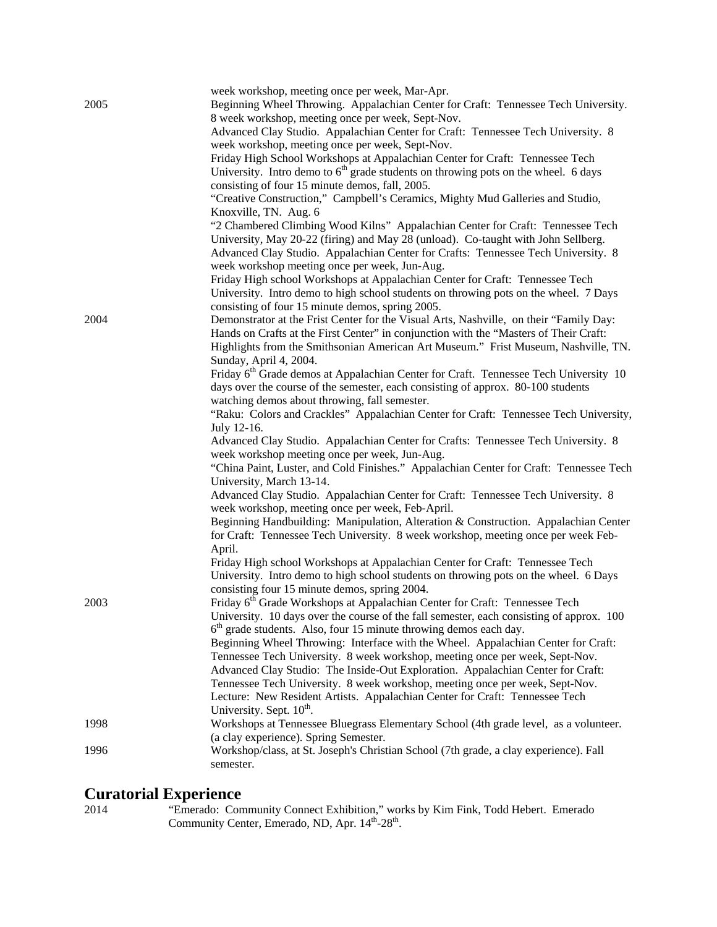|      | week workshop, meeting once per week, Mar-Apr.                                                   |
|------|--------------------------------------------------------------------------------------------------|
| 2005 | Beginning Wheel Throwing. Appalachian Center for Craft: Tennessee Tech University.               |
|      | 8 week workshop, meeting once per week, Sept-Nov.                                                |
|      | Advanced Clay Studio. Appalachian Center for Craft: Tennessee Tech University. 8                 |
|      | week workshop, meeting once per week, Sept-Nov.                                                  |
|      | Friday High School Workshops at Appalachian Center for Craft: Tennessee Tech                     |
|      | University. Intro demo to $6th$ grade students on throwing pots on the wheel. 6 days             |
|      | consisting of four 15 minute demos, fall, 2005.                                                  |
|      | "Creative Construction," Campbell's Ceramics, Mighty Mud Galleries and Studio,                   |
|      | Knoxville, TN. Aug. 6                                                                            |
|      | "2 Chambered Climbing Wood Kilns" Appalachian Center for Craft: Tennessee Tech                   |
|      | University, May 20-22 (firing) and May 28 (unload). Co-taught with John Sellberg.                |
|      | Advanced Clay Studio. Appalachian Center for Crafts: Tennessee Tech University. 8                |
|      | week workshop meeting once per week, Jun-Aug.                                                    |
|      | Friday High school Workshops at Appalachian Center for Craft: Tennessee Tech                     |
|      | University. Intro demo to high school students on throwing pots on the wheel. 7 Days             |
|      | consisting of four 15 minute demos, spring 2005.                                                 |
| 2004 | Demonstrator at the Frist Center for the Visual Arts, Nashville, on their "Family Day:           |
|      | Hands on Crafts at the First Center" in conjunction with the "Masters of Their Craft:            |
|      | Highlights from the Smithsonian American Art Museum." Frist Museum, Nashville, TN.               |
|      | Sunday, April 4, 2004.                                                                           |
|      | Friday 6 <sup>th</sup> Grade demos at Appalachian Center for Craft. Tennessee Tech University 10 |
|      | days over the course of the semester, each consisting of approx. 80-100 students                 |
|      | watching demos about throwing, fall semester.                                                    |
|      | "Raku: Colors and Crackles" Appalachian Center for Craft: Tennessee Tech University,             |
|      | July 12-16.                                                                                      |
|      | Advanced Clay Studio. Appalachian Center for Crafts: Tennessee Tech University. 8                |
|      | week workshop meeting once per week, Jun-Aug.                                                    |
|      | "China Paint, Luster, and Cold Finishes." Appalachian Center for Craft: Tennessee Tech           |
|      | University, March 13-14.                                                                         |
|      | Advanced Clay Studio. Appalachian Center for Craft: Tennessee Tech University. 8                 |
|      | week workshop, meeting once per week, Feb-April.                                                 |
|      | Beginning Handbuilding: Manipulation, Alteration & Construction. Appalachian Center              |
|      | for Craft: Tennessee Tech University. 8 week workshop, meeting once per week Feb-                |
|      | April.                                                                                           |
|      | Friday High school Workshops at Appalachian Center for Craft: Tennessee Tech                     |
|      | University. Intro demo to high school students on throwing pots on the wheel. 6 Days             |
|      | consisting four 15 minute demos, spring 2004.                                                    |
| 2003 | Friday 6 <sup>th</sup> Grade Workshops at Appalachian Center for Craft: Tennessee Tech           |
|      | University. 10 days over the course of the fall semester, each consisting of approx. 100         |
|      | $6th$ grade students. Also, four 15 minute throwing demos each day.                              |
|      | Beginning Wheel Throwing: Interface with the Wheel. Appalachian Center for Craft:                |
|      | Tennessee Tech University. 8 week workshop, meeting once per week, Sept-Nov.                     |
|      | Advanced Clay Studio: The Inside-Out Exploration. Appalachian Center for Craft:                  |
|      | Tennessee Tech University. 8 week workshop, meeting once per week, Sept-Nov.                     |
|      | Lecture: New Resident Artists. Appalachian Center for Craft: Tennessee Tech                      |
|      | University. Sept. 10 <sup>th</sup> .                                                             |
| 1998 | Workshops at Tennessee Bluegrass Elementary School (4th grade level, as a volunteer.             |
|      | (a clay experience). Spring Semester.                                                            |
| 1996 | Workshop/class, at St. Joseph's Christian School (7th grade, a clay experience). Fall            |
|      | semester.                                                                                        |
|      |                                                                                                  |

### **Curatorial Experience**

2014 "Emerado: Community Connect Exhibition," works by Kim Fink, Todd Hebert. Emerado Community Center, Emerado, ND, Apr. 14<sup>th</sup>-28<sup>th</sup>.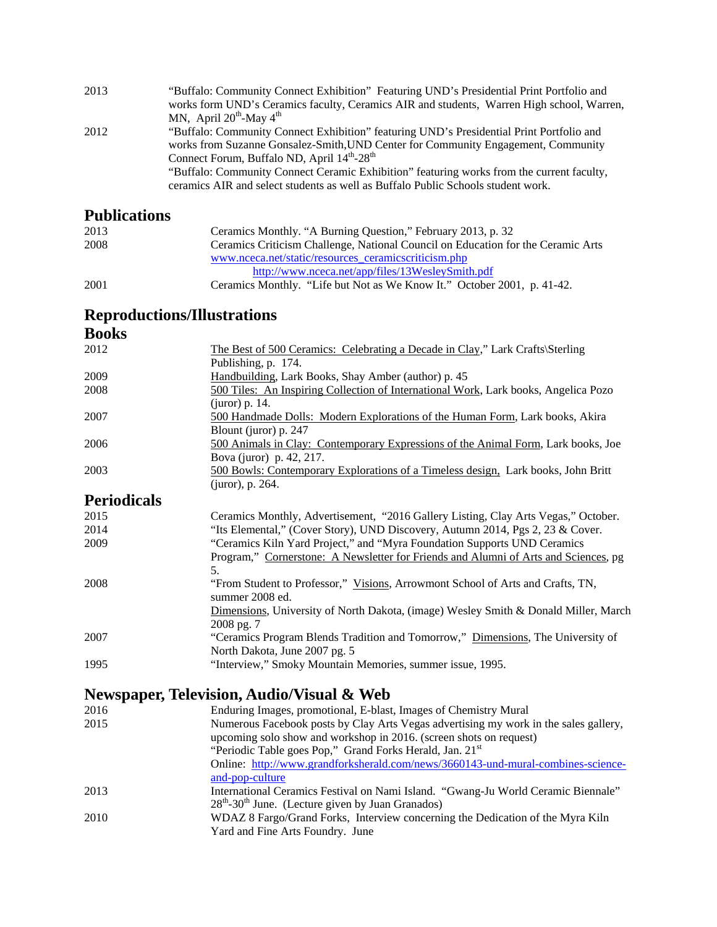| 2013 | "Buffalo: Community Connect Exhibition" Featuring UND's Presidential Print Portfolio and  |
|------|-------------------------------------------------------------------------------------------|
|      | works form UND's Ceramics faculty, Ceramics AIR and students, Warren High school, Warren, |
|      | MN, April $20^{th}$ -May 4 <sup>th</sup>                                                  |
| 2012 | "Buffalo: Community Connect Exhibition" featuring UND's Presidential Print Portfolio and  |
|      | works from Suzanne Gonsalez-Smith, UND Center for Community Engagement, Community         |
|      | Connect Forum, Buffalo ND, April 14 <sup>th</sup> -28 <sup>th</sup>                       |
|      | "Buffalo: Community Connect Ceramic Exhibition" featuring works from the current faculty, |
|      | ceramics AIR and select students as well as Buffalo Public Schools student work.          |
|      |                                                                                           |

## **Publications**

| 2013 | Ceramics Monthly. "A Burning Question," February 2013, p. 32                     |
|------|----------------------------------------------------------------------------------|
| 2008 | Ceramics Criticism Challenge, National Council on Education for the Ceramic Arts |
|      | www.nceca.net/static/resources ceramicscriticism.php                             |
|      | http://www.nceca.net/app/files/13WesleySmith.pdf                                 |
| 2001 | Ceramics Monthly. "Life but Not as We Know It." October 2001, p. 41-42.          |

### **Reproductions/Illustrations**

### **Books**

| 2012               | The Best of 500 Ceramics: Celebrating a Decade in Clay," Lark Crafts\Sterling                     |
|--------------------|---------------------------------------------------------------------------------------------------|
|                    | Publishing, p. 174.                                                                               |
| 2009               | Handbuilding, Lark Books, Shay Amber (author) p. 45                                               |
| 2008               | 500 Tiles: An Inspiring Collection of International Work, Lark books, Angelica Pozo               |
|                    | $(iuror)$ p. 14.                                                                                  |
| 2007               | 500 Handmade Dolls: Modern Explorations of the Human Form, Lark books, Akira                      |
|                    | Blount (juror) p. 247                                                                             |
| 2006               | 500 Animals in Clay: Contemporary Expressions of the Animal Form, Lark books, Joe                 |
|                    | Bova (juror) p. 42, 217.                                                                          |
| 2003               | 500 Bowls: Contemporary Explorations of a Timeless design, Lark books, John Britt                 |
|                    | (juror), p. 264.                                                                                  |
| <b>Periodicals</b> |                                                                                                   |
| 2015               | Ceramics Monthly, Advertisement, "2016 Gallery Listing, Clay Arts Vegas," October.                |
| 2014               | "Its Elemental," (Cover Story), UND Discovery, Autumn 2014, Pgs 2, 23 & Cover.                    |
| 2009               | "Ceramics Kiln Yard Project," and "Myra Foundation Supports UND Ceramics"                         |
|                    | Program," Cornerstone: A Newsletter for Friends and Alumni of Arts and Sciences, pg               |
|                    | 5.                                                                                                |
| 2008               | "From Student to Professor," Visions, Arrowmont School of Arts and Crafts, TN,<br>summer 2008 ed. |
|                    | Dimensions, University of North Dakota, (image) Wesley Smith & Donald Miller, March               |
|                    | 2008 pg. 7                                                                                        |
| 2007               | "Ceramics Program Blends Tradition and Tomorrow," Dimensions, The University of                   |
|                    | North Dakota, June 2007 pg. 5                                                                     |
| 1995               | "Interview," Smoky Mountain Memories, summer issue, 1995.                                         |
|                    |                                                                                                   |
|                    | <b>Newspaper, Television, Audio/Visual &amp; Web</b>                                              |

|      | $11010$ puppers and selected in the second second $\mathbf{w}$ second                |
|------|--------------------------------------------------------------------------------------|
| 2016 | Enduring Images, promotional, E-blast, Images of Chemistry Mural                     |
| 2015 | Numerous Facebook posts by Clay Arts Vegas advertising my work in the sales gallery, |
|      | upcoming solo show and workshop in 2016. (screen shots on request)                   |
|      | "Periodic Table goes Pop," Grand Forks Herald, Jan. 21st                             |
|      | Online: http://www.grandforksherald.com/news/3660143-und-mural-combines-science-     |
|      | and-pop-culture                                                                      |
| 2013 | International Ceramics Festival on Nami Island. "Gwang-Ju World Ceramic Biennale"    |
|      | $28th - 30th$ June. (Lecture given by Juan Granados)                                 |
| 2010 | WDAZ 8 Fargo/Grand Forks, Interview concerning the Dedication of the Myra Kiln       |
|      | Yard and Fine Arts Foundry. June                                                     |
|      |                                                                                      |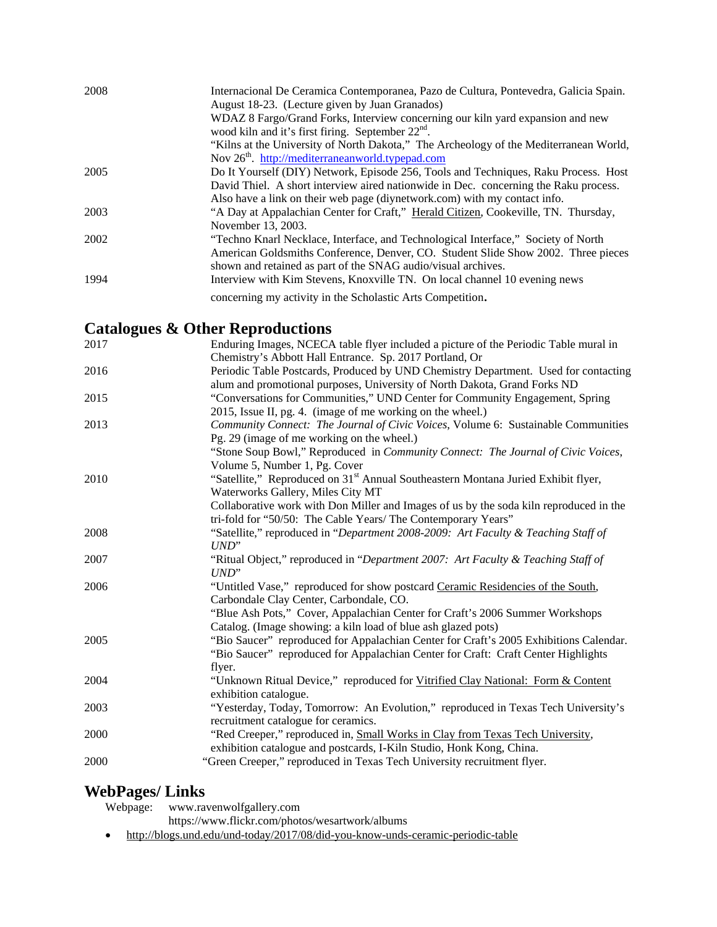| 2008 | Internacional De Ceramica Contemporanea, Pazo de Cultura, Pontevedra, Galicia Spain.<br>August 18-23. (Lecture given by Juan Granados) |
|------|----------------------------------------------------------------------------------------------------------------------------------------|
|      | WDAZ 8 Fargo/Grand Forks, Interview concerning our kiln yard expansion and new<br>wood kiln and it's first firing. September $22nd$ .  |
|      | "Kilns at the University of North Dakota," The Archeology of the Mediterranean World,                                                  |
|      | Nov $26th$ . http://mediterraneanworld.typepad.com                                                                                     |
| 2005 | Do It Yourself (DIY) Network, Episode 256, Tools and Techniques, Raku Process. Host                                                    |
|      | David Thiel. A short interview aired nationwide in Dec. concerning the Raku process.                                                   |
|      | Also have a link on their web page (diynetwork.com) with my contact info.                                                              |
| 2003 | "A Day at Appalachian Center for Craft," Herald Citizen, Cookeville, TN. Thursday,                                                     |
|      | November 13, 2003.                                                                                                                     |
| 2002 | "Techno Knarl Necklace, Interface, and Technological Interface," Society of North                                                      |
|      | American Goldsmiths Conference, Denver, CO. Student Slide Show 2002. Three pieces                                                      |
|      | shown and retained as part of the SNAG audio/visual archives.                                                                          |
| 1994 | Interview with Kim Stevens, Knoxville TN. On local channel 10 evening news                                                             |
|      | concerning my activity in the Scholastic Arts Competition.                                                                             |

## **Catalogues & Other Reproductions**

| 2017 | Enduring Images, NCECA table flyer included a picture of the Periodic Table mural in          |
|------|-----------------------------------------------------------------------------------------------|
|      | Chemistry's Abbott Hall Entrance. Sp. 2017 Portland, Or                                       |
| 2016 | Periodic Table Postcards, Produced by UND Chemistry Department. Used for contacting           |
|      | alum and promotional purposes, University of North Dakota, Grand Forks ND                     |
| 2015 | "Conversations for Communities," UND Center for Community Engagement, Spring                  |
|      | 2015, Issue II, pg. 4. (image of me working on the wheel.)                                    |
| 2013 | Community Connect: The Journal of Civic Voices, Volume 6: Sustainable Communities             |
|      | Pg. 29 (image of me working on the wheel.)                                                    |
|      | "Stone Soup Bowl," Reproduced in Community Connect: The Journal of Civic Voices,              |
|      | Volume 5, Number 1, Pg. Cover                                                                 |
| 2010 | "Satellite," Reproduced on 31 <sup>st</sup> Annual Southeastern Montana Juried Exhibit flyer, |
|      | Waterworks Gallery, Miles City MT                                                             |
|      | Collaborative work with Don Miller and Images of us by the soda kiln reproduced in the        |
|      | tri-fold for "50/50: The Cable Years/ The Contemporary Years"                                 |
| 2008 | "Satellite," reproduced in "Department 2008-2009: Art Faculty & Teaching Staff of             |
|      | $UND$ "                                                                                       |
| 2007 | "Ritual Object," reproduced in "Department 2007: Art Faculty & Teaching Staff of              |
|      | UND"                                                                                          |
| 2006 | "Untitled Vase," reproduced for show postcard Ceramic Residencies of the South,               |
|      | Carbondale Clay Center, Carbondale, CO.                                                       |
|      | "Blue Ash Pots," Cover, Appalachian Center for Craft's 2006 Summer Workshops                  |
|      | Catalog. (Image showing: a kiln load of blue ash glazed pots)                                 |
| 2005 | "Bio Saucer" reproduced for Appalachian Center for Craft's 2005 Exhibitions Calendar.         |
|      | "Bio Saucer" reproduced for Appalachian Center for Craft: Craft Center Highlights             |
|      | flyer.                                                                                        |
| 2004 | "Unknown Ritual Device," reproduced for Vitrified Clay National: Form & Content               |
|      | exhibition catalogue.                                                                         |
| 2003 | "Yesterday, Today, Tomorrow: An Evolution," reproduced in Texas Tech University's             |
|      | recruitment catalogue for ceramics.                                                           |
| 2000 | "Red Creeper," reproduced in, Small Works in Clay from Texas Tech University,                 |
|      | exhibition catalogue and postcards, I-Kiln Studio, Honk Kong, China.                          |
| 2000 | "Green Creeper," reproduced in Texas Tech University recruitment flyer.                       |

# **WebPages/ Links**

Webpage: www.ravenwolfgallery.com

https://www.flickr.com/photos/wesartwork/albums

• http://blogs.und.edu/und-today/2017/08/did-you-know-unds-ceramic-periodic-table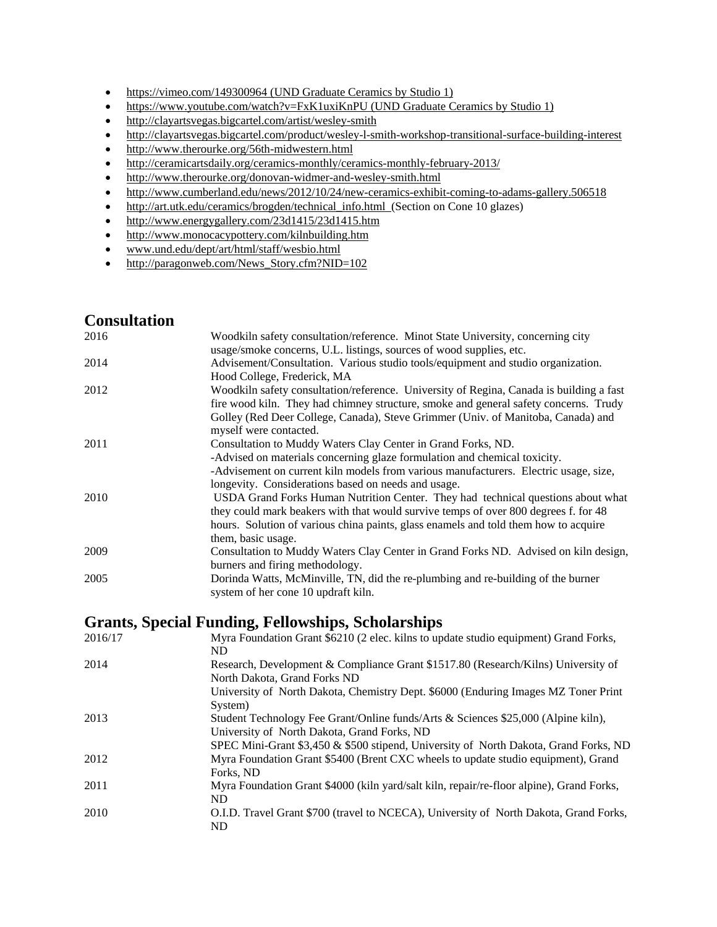- https://vimeo.com/149300964 (UND Graduate Ceramics by Studio 1)
- https://www.youtube.com/watch?v=FxK1uxiKnPU (UND Graduate Ceramics by Studio 1)
- http://clayartsvegas.bigcartel.com/artist/wesley-smith
- http://clayartsvegas.bigcartel.com/product/wesley-l-smith-workshop-transitional-surface-building-interest
- http://www.therourke.org/56th-midwestern.html
- http://ceramicartsdaily.org/ceramics-monthly/ceramics-monthly-february-2013/
- http://www.therourke.org/donovan-widmer-and-wesley-smith.html
- http://www.cumberland.edu/news/2012/10/24/new-ceramics-exhibit-coming-to-adams-gallery.506518
- http://art.utk.edu/ceramics/brogden/technical\_info.html (Section on Cone 10 glazes)
- http://www.energygallery.com/23d1415/23d1415.htm
- http://www.monocacypottery.com/kilnbuilding.htm
- www.und.edu/dept/art/html/staff/wesbio.html
- http://paragonweb.com/News\_Story.cfm?NID=102

### **Consultation**

| 2016 | Woodkiln safety consultation/reference. Minot State University, concerning city         |
|------|-----------------------------------------------------------------------------------------|
|      | usage/smoke concerns, U.L. listings, sources of wood supplies, etc.                     |
| 2014 | Advisement/Consultation. Various studio tools/equipment and studio organization.        |
|      | Hood College, Frederick, MA                                                             |
| 2012 | Woodkiln safety consultation/reference. University of Regina, Canada is building a fast |
|      | fire wood kiln. They had chimney structure, smoke and general safety concerns. Trudy    |
|      | Golley (Red Deer College, Canada), Steve Grimmer (Univ. of Manitoba, Canada) and        |
|      | myself were contacted.                                                                  |
| 2011 | Consultation to Muddy Waters Clay Center in Grand Forks, ND.                            |
|      | -Advised on materials concerning glaze formulation and chemical toxicity.               |
|      | -Advisement on current kiln models from various manufacturers. Electric usage, size,    |
|      | longevity. Considerations based on needs and usage.                                     |
| 2010 | USDA Grand Forks Human Nutrition Center. They had technical questions about what        |
|      | they could mark beakers with that would survive temps of over 800 degrees f. for 48     |
|      | hours. Solution of various china paints, glass enamels and told them how to acquire     |
|      | them, basic usage.                                                                      |
| 2009 | Consultation to Muddy Waters Clay Center in Grand Forks ND. Advised on kiln design,     |
|      | burners and firing methodology.                                                         |
| 2005 | Dorinda Watts, McMinville, TN, did the re-plumbing and re-building of the burner        |
|      | system of her cone 10 updraft kiln.                                                     |

### **Grants, Special Funding, Fellowships, Scholarships**

| 2016/17 | Myra Foundation Grant \$6210 (2 elec. kilns to update studio equipment) Grand Forks,<br>ND.                                      |
|---------|----------------------------------------------------------------------------------------------------------------------------------|
| 2014    | Research, Development & Compliance Grant \$1517.80 (Research/Kilns) University of<br>North Dakota, Grand Forks ND                |
|         | University of North Dakota, Chemistry Dept. \$6000 (Enduring Images MZ Toner Print<br>System)                                    |
| 2013    | Student Technology Fee Grant/Online funds/Arts & Sciences \$25,000 (Alpine kiln),<br>University of North Dakota, Grand Forks, ND |
|         | SPEC Mini-Grant \$3,450 & \$500 stipend, University of North Dakota, Grand Forks, ND                                             |
| 2012    | Myra Foundation Grant \$5400 (Brent CXC wheels to update studio equipment), Grand<br>Forks, ND                                   |
| 2011    | Myra Foundation Grant \$4000 (kiln yard/salt kiln, repair/re-floor alpine), Grand Forks,<br>ND.                                  |
| 2010    | O.I.D. Travel Grant \$700 (travel to NCECA), University of North Dakota, Grand Forks,<br>ND                                      |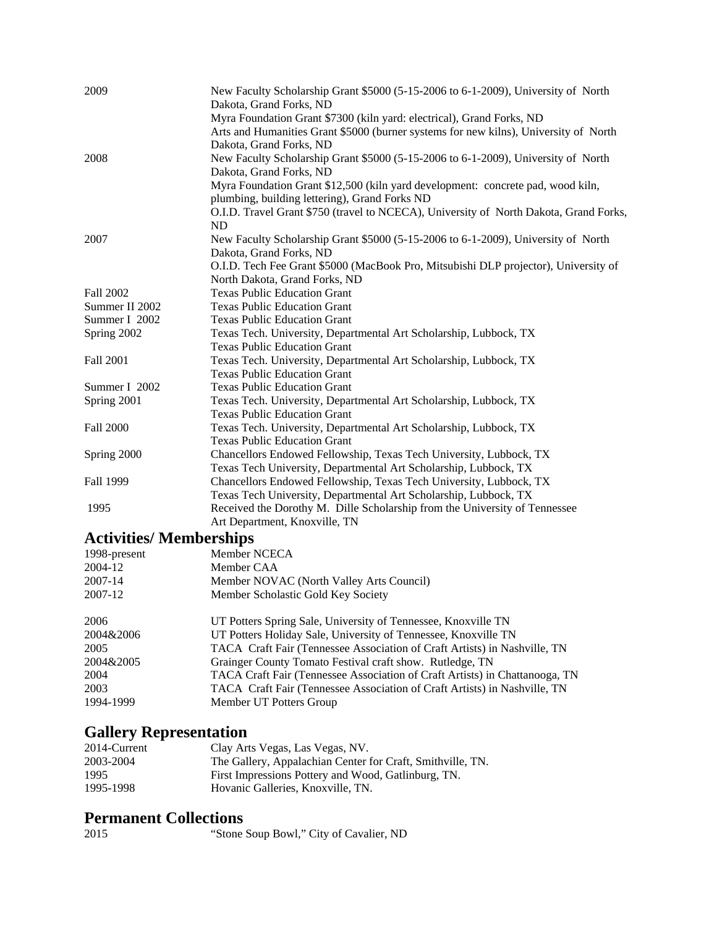| 2009             | New Faculty Scholarship Grant \$5000 (5-15-2006 to 6-1-2009), University of North<br>Dakota, Grand Forks, ND |
|------------------|--------------------------------------------------------------------------------------------------------------|
|                  | Myra Foundation Grant \$7300 (kiln yard: electrical), Grand Forks, ND                                        |
|                  | Arts and Humanities Grant \$5000 (burner systems for new kilns), University of North                         |
|                  | Dakota, Grand Forks, ND                                                                                      |
| 2008             | New Faculty Scholarship Grant \$5000 (5-15-2006 to 6-1-2009), University of North                            |
|                  | Dakota, Grand Forks, ND                                                                                      |
|                  | Myra Foundation Grant \$12,500 (kiln yard development: concrete pad, wood kiln,                              |
|                  | plumbing, building lettering), Grand Forks ND                                                                |
|                  | O.I.D. Travel Grant \$750 (travel to NCECA), University of North Dakota, Grand Forks,                        |
|                  | ND                                                                                                           |
| 2007             | New Faculty Scholarship Grant \$5000 (5-15-2006 to 6-1-2009), University of North                            |
|                  | Dakota, Grand Forks, ND                                                                                      |
|                  | O.I.D. Tech Fee Grant \$5000 (MacBook Pro, Mitsubishi DLP projector), University of                          |
|                  | North Dakota, Grand Forks, ND                                                                                |
| Fall 2002        | <b>Texas Public Education Grant</b>                                                                          |
| Summer II 2002   | <b>Texas Public Education Grant</b>                                                                          |
| Summer I 2002    | <b>Texas Public Education Grant</b>                                                                          |
| Spring 2002      | Texas Tech. University, Departmental Art Scholarship, Lubbock, TX                                            |
|                  | <b>Texas Public Education Grant</b>                                                                          |
| Fall 2001        | Texas Tech. University, Departmental Art Scholarship, Lubbock, TX                                            |
|                  | <b>Texas Public Education Grant</b>                                                                          |
| Summer I 2002    | <b>Texas Public Education Grant</b>                                                                          |
| Spring 2001      | Texas Tech. University, Departmental Art Scholarship, Lubbock, TX                                            |
|                  | <b>Texas Public Education Grant</b>                                                                          |
| <b>Fall 2000</b> | Texas Tech. University, Departmental Art Scholarship, Lubbock, TX                                            |
|                  | <b>Texas Public Education Grant</b>                                                                          |
| Spring 2000      | Chancellors Endowed Fellowship, Texas Tech University, Lubbock, TX                                           |
|                  | Texas Tech University, Departmental Art Scholarship, Lubbock, TX                                             |
| Fall 1999        | Chancellors Endowed Fellowship, Texas Tech University, Lubbock, TX                                           |
|                  | Texas Tech University, Departmental Art Scholarship, Lubbock, TX                                             |
| 1995             | Received the Dorothy M. Dille Scholarship from the University of Tennessee                                   |
|                  | Art Department, Knoxville, TN                                                                                |
| $\cdots$         | $\blacksquare$                                                                                               |

### **Activities/ Memberships**

| Member NCECA                                                                |
|-----------------------------------------------------------------------------|
| Member CAA                                                                  |
| Member NOVAC (North Valley Arts Council)                                    |
| Member Scholastic Gold Key Society                                          |
| UT Potters Spring Sale, University of Tennessee, Knoxville TN               |
| UT Potters Holiday Sale, University of Tennessee, Knoxville TN              |
| TACA Craft Fair (Tennessee Association of Craft Artists) in Nashville, TN   |
| Grainger County Tomato Festival craft show. Rutledge, TN                    |
| TACA Craft Fair (Tennessee Association of Craft Artists) in Chattanooga, TN |
| TACA Craft Fair (Tennessee Association of Craft Artists) in Nashville, TN   |
| Member UT Potters Group                                                     |
|                                                                             |

# **Gallery Representation**

| 2014-Current | Clay Arts Vegas, Las Vegas, NV.                            |
|--------------|------------------------------------------------------------|
| 2003-2004    | The Gallery, Appalachian Center for Craft, Smithville, TN. |
| 1995         | First Impressions Pottery and Wood, Gatlinburg, TN.        |
| 1995-1998    | Hovanic Galleries, Knoxville, TN.                          |

## **Permanent Collections**

| "Stone Soup Bowl," City of Cavalier, ND |
|-----------------------------------------|
|-----------------------------------------|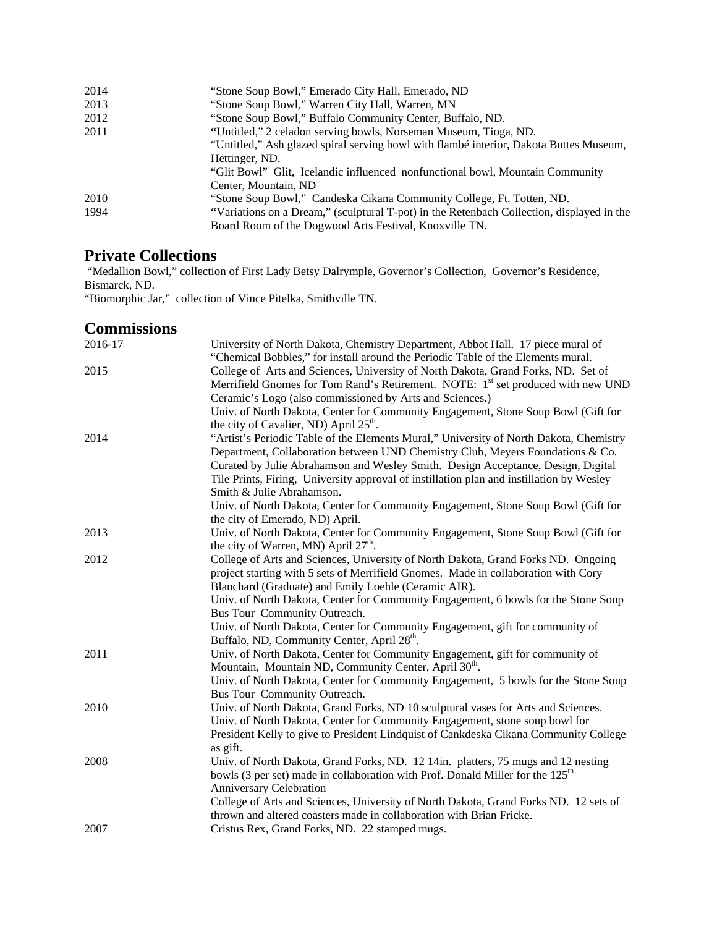| 2014 | "Stone Soup Bowl," Emerado City Hall, Emerado, ND                                         |
|------|-------------------------------------------------------------------------------------------|
| 2013 | "Stone Soup Bowl," Warren City Hall, Warren, MN                                           |
| 2012 | "Stone Soup Bowl," Buffalo Community Center, Buffalo, ND.                                 |
| 2011 | "Untitled," 2 celadon serving bowls, Norseman Museum, Tioga, ND.                          |
|      | "Untitled," Ash glazed spiral serving bowl with flambé interior, Dakota Buttes Museum,    |
|      | Hettinger, ND.                                                                            |
|      | "Glit Bowl" Glit, Icelandic influenced nonfunctional bowl, Mountain Community             |
|      | Center, Mountain, ND                                                                      |
| 2010 | "Stone Soup Bowl," Candeska Cikana Community College, Ft. Totten, ND.                     |
| 1994 | "Variations on a Dream," (sculptural T-pot) in the Retenbach Collection, displayed in the |
|      | Board Room of the Dogwood Arts Festival, Knoxville TN.                                    |

## **Private Collections**

 "Medallion Bowl," collection of First Lady Betsy Dalrymple, Governor's Collection, Governor's Residence, Bismarck, ND.

"Biomorphic Jar," collection of Vince Pitelka, Smithville TN.

### **Commissions**

| 2016-17 | University of North Dakota, Chemistry Department, Abbot Hall. 17 piece mural of              |
|---------|----------------------------------------------------------------------------------------------|
|         | "Chemical Bobbles," for install around the Periodic Table of the Elements mural.             |
| 2015    | College of Arts and Sciences, University of North Dakota, Grand Forks, ND. Set of            |
|         | Merrifield Gnomes for Tom Rand's Retirement. NOTE: 1 <sup>st</sup> set produced with new UND |
|         | Ceramic's Logo (also commissioned by Arts and Sciences.)                                     |
|         | Univ. of North Dakota, Center for Community Engagement, Stone Soup Bowl (Gift for            |
|         | the city of Cavalier, ND) April 25 <sup>th</sup> .                                           |
| 2014    | "Artist's Periodic Table of the Elements Mural," University of North Dakota, Chemistry       |
|         | Department, Collaboration between UND Chemistry Club, Meyers Foundations & Co.               |
|         | Curated by Julie Abrahamson and Wesley Smith. Design Acceptance, Design, Digital             |
|         | Tile Prints, Firing, University approval of instillation plan and instillation by Wesley     |
|         | Smith & Julie Abrahamson.                                                                    |
|         | Univ. of North Dakota, Center for Community Engagement, Stone Soup Bowl (Gift for            |
|         | the city of Emerado, ND) April.                                                              |
| 2013    | Univ. of North Dakota, Center for Community Engagement, Stone Soup Bowl (Gift for            |
|         | the city of Warren, MN) April $27th$ .                                                       |
| 2012    | College of Arts and Sciences, University of North Dakota, Grand Forks ND. Ongoing            |
|         | project starting with 5 sets of Merrifield Gnomes. Made in collaboration with Cory           |
|         | Blanchard (Graduate) and Emily Loehle (Ceramic AIR).                                         |
|         | Univ. of North Dakota, Center for Community Engagement, 6 bowls for the Stone Soup           |
|         | Bus Tour Community Outreach.                                                                 |
|         | Univ. of North Dakota, Center for Community Engagement, gift for community of                |
|         | Buffalo, ND, Community Center, April 28 <sup>th</sup> .                                      |
| 2011    | Univ. of North Dakota, Center for Community Engagement, gift for community of                |
|         | Mountain, Mountain ND, Community Center, April 30 <sup>th</sup> .                            |
|         | Univ. of North Dakota, Center for Community Engagement, 5 bowls for the Stone Soup           |
|         | Bus Tour Community Outreach.                                                                 |
| 2010    | Univ. of North Dakota, Grand Forks, ND 10 sculptural vases for Arts and Sciences.            |
|         | Univ. of North Dakota, Center for Community Engagement, stone soup bowl for                  |
|         | President Kelly to give to President Lindquist of Cankdeska Cikana Community College         |
|         | as gift.                                                                                     |
| 2008    | Univ. of North Dakota, Grand Forks, ND. 12 14in. platters, 75 mugs and 12 nesting            |
|         | bowls (3 per set) made in collaboration with Prof. Donald Miller for the 125 <sup>th</sup>   |
|         | Anniversary Celebration                                                                      |
|         | College of Arts and Sciences, University of North Dakota, Grand Forks ND. 12 sets of         |
|         | thrown and altered coasters made in collaboration with Brian Fricke.                         |
| 2007    | Cristus Rex, Grand Forks, ND. 22 stamped mugs.                                               |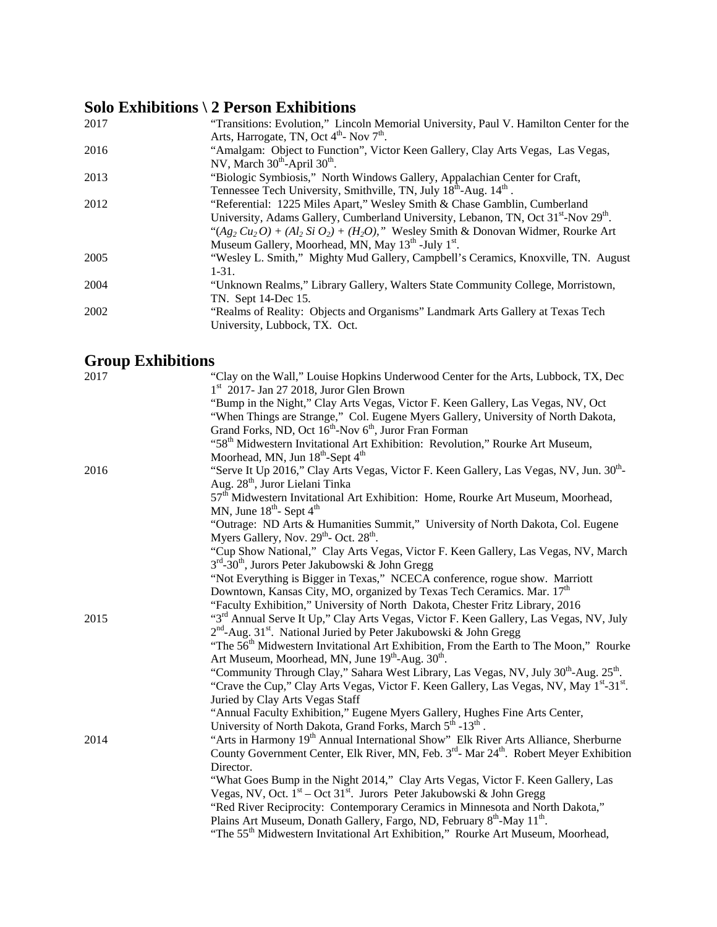# **Solo Exhibitions \ 2 Person Exhibitions**

| 2017 | "Transitions: Evolution," Lincoln Memorial University, Paul V. Hamilton Center for the<br>Arts, Harrogate, TN, Oct $4th$ - Nov $7th$ .                                                                                                                                                                                                                             |
|------|--------------------------------------------------------------------------------------------------------------------------------------------------------------------------------------------------------------------------------------------------------------------------------------------------------------------------------------------------------------------|
| 2016 | "Amalgam: Object to Function", Victor Keen Gallery, Clay Arts Vegas, Las Vegas,<br>NV, March $30^{th}$ -April $30^{th}$ .                                                                                                                                                                                                                                          |
| 2013 | "Biologic Symbiosis," North Windows Gallery, Appalachian Center for Craft,<br>Tennessee Tech University, Smithville, TN, July 18 <sup>th</sup> -Aug. 14 <sup>th</sup> .                                                                                                                                                                                            |
| 2012 | "Referential: 1225 Miles Apart," Wesley Smith & Chase Gamblin, Cumberland<br>University, Adams Gallery, Cumberland University, Lebanon, TN, Oct 31 <sup>st</sup> -Nov 29 <sup>th</sup> .<br>" $(Ag_2 Cu_2 O) + (Al_2 Si O_2) + (H_2 O)$ ," Wesley Smith & Donovan Widmer, Rourke Art<br>Museum Gallery, Moorhead, MN, May 13 <sup>th</sup> -July 1 <sup>st</sup> . |
| 2005 | "Wesley L. Smith," Mighty Mud Gallery, Campbell's Ceramics, Knoxville, TN. August<br>$1-31.$                                                                                                                                                                                                                                                                       |
| 2004 | "Unknown Realms," Library Gallery, Walters State Community College, Morristown,<br>TN. Sept 14-Dec 15.                                                                                                                                                                                                                                                             |
| 2002 | "Realms of Reality: Objects and Organisms" Landmark Arts Gallery at Texas Tech<br>University, Lubbock, TX. Oct.                                                                                                                                                                                                                                                    |

# **Group Exhibitions**

| 2017 | "Clay on the Wall," Louise Hopkins Underwood Center for the Arts, Lubbock, TX, Dec                                                                 |
|------|----------------------------------------------------------------------------------------------------------------------------------------------------|
|      | $1st$ 2017- Jan 27 2018, Juror Glen Brown                                                                                                          |
|      | "Bump in the Night," Clay Arts Vegas, Victor F. Keen Gallery, Las Vegas, NV, Oct                                                                   |
|      | "When Things are Strange," Col. Eugene Myers Gallery, University of North Dakota,                                                                  |
|      | Grand Forks, ND, Oct 16 <sup>th</sup> -Nov 6 <sup>th</sup> , Juror Fran Forman                                                                     |
|      | "58 <sup>th</sup> Midwestern Invitational Art Exhibition: Revolution," Rourke Art Museum,                                                          |
|      | Moorhead, MN, Jun 18 <sup>th</sup> -Sept 4 <sup>th</sup>                                                                                           |
| 2016 | "Serve It Up 2016," Clay Arts Vegas, Victor F. Keen Gallery, Las Vegas, NV, Jun. 30 <sup>th</sup> -<br>Aug. 28 <sup>th</sup> , Juror Lielani Tinka |
|      | 57 <sup>th</sup> Midwestern Invitational Art Exhibition: Home, Rourke Art Museum, Moorhead,                                                        |
|      | MN, June $18^{th}$ - Sept $4^{th}$                                                                                                                 |
|      | "Outrage: ND Arts & Humanities Summit," University of North Dakota, Col. Eugene                                                                    |
|      | Myers Gallery, Nov. 29 <sup>th</sup> - Oct. 28 <sup>th</sup> .                                                                                     |
|      | "Cup Show National," Clay Arts Vegas, Victor F. Keen Gallery, Las Vegas, NV, March                                                                 |
|      | $3rd$ -30 <sup>th</sup> , Jurors Peter Jakubowski & John Gregg                                                                                     |
|      | "Not Everything is Bigger in Texas," NCECA conference, rogue show. Marriott                                                                        |
|      | Downtown, Kansas City, MO, organized by Texas Tech Ceramics. Mar. 17 <sup>th</sup>                                                                 |
|      | "Faculty Exhibition," University of North Dakota, Chester Fritz Library, 2016                                                                      |
| 2015 | "3 <sup>rd</sup> Annual Serve It Up," Clay Arts Vegas, Victor F. Keen Gallery, Las Vegas, NV, July                                                 |
|      | $2nd$ -Aug. 31 <sup>st</sup> . National Juried by Peter Jakubowski & John Gregg                                                                    |
|      | "The 56 <sup>th</sup> Midwestern Invitational Art Exhibition, From the Earth to The Moon," Rourke                                                  |
|      | Art Museum, Moorhead, MN, June 19 <sup>th</sup> -Aug. 30 <sup>th</sup> .                                                                           |
|      | "Community Through Clay," Sahara West Library, Las Vegas, NV, July 30 <sup>th</sup> -Aug. 25 <sup>th</sup> .                                       |
|      | "Crave the Cup," Clay Arts Vegas, Victor F. Keen Gallery, Las Vegas, NV, May 1st-31st.                                                             |
|      | Juried by Clay Arts Vegas Staff                                                                                                                    |
|      | "Annual Faculty Exhibition," Eugene Myers Gallery, Hughes Fine Arts Center,                                                                        |
|      | University of North Dakota, Grand Forks, March 5 <sup>th</sup> -13 <sup>th</sup> .                                                                 |
| 2014 | "Arts in Harmony 19th Annual International Show" Elk River Arts Alliance, Sherburne                                                                |
|      | County Government Center, Elk River, MN, Feb. 3 <sup>rd</sup> - Mar 24 <sup>th</sup> . Robert Meyer Exhibition                                     |
|      | Director.                                                                                                                                          |
|      | "What Goes Bump in the Night 2014," Clay Arts Vegas, Victor F. Keen Gallery, Las                                                                   |
|      | Vegas, NV, Oct. 1 <sup>st</sup> – Oct 31 <sup>st</sup> . Jurors Peter Jakubowski & John Gregg                                                      |
|      | "Red River Reciprocity: Contemporary Ceramics in Minnesota and North Dakota,"                                                                      |
|      | Plains Art Museum, Donath Gallery, Fargo, ND, February 8th-May 11th.                                                                               |
|      | "The 55 <sup>th</sup> Midwestern Invitational Art Exhibition," Rourke Art Museum, Moorhead,                                                        |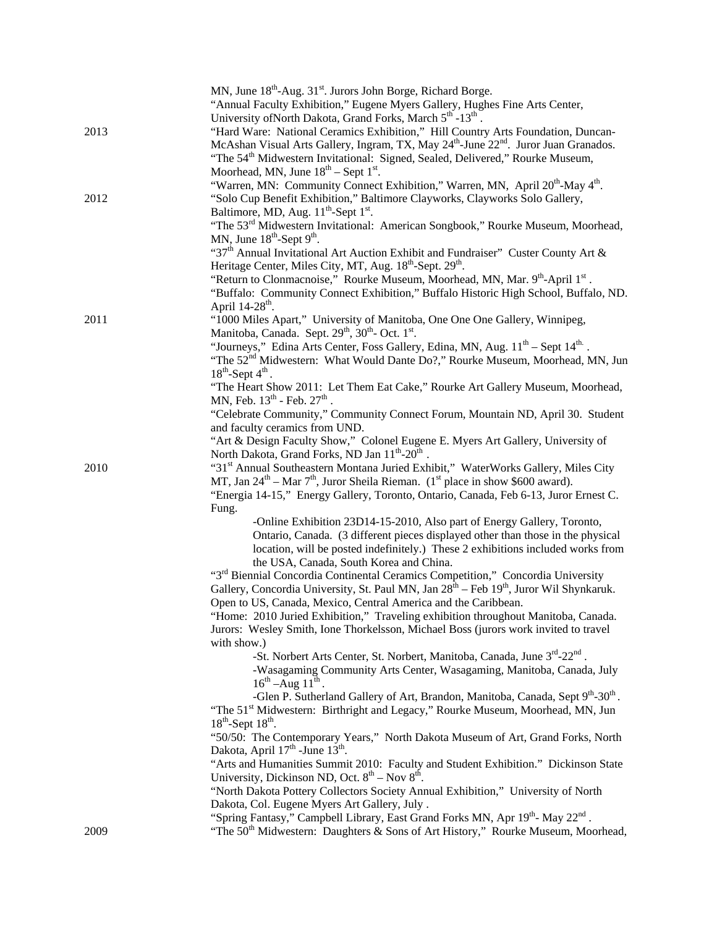|      | MN, June 18 <sup>th</sup> -Aug. 31 <sup>st</sup> . Jurors John Borge, Richard Borge.<br>"Annual Faculty Exhibition," Eugene Myers Gallery, Hughes Fine Arts Center,<br>University of North Dakota, Grand Forks, March 5 <sup>th</sup> -13 <sup>th</sup> .                                                                                |
|------|------------------------------------------------------------------------------------------------------------------------------------------------------------------------------------------------------------------------------------------------------------------------------------------------------------------------------------------|
| 2013 | "Hard Ware: National Ceramics Exhibition," Hill Country Arts Foundation, Duncan-<br>McAshan Visual Arts Gallery, Ingram, TX, May 24 <sup>th</sup> -June 22 <sup>nd</sup> . Juror Juan Granados.<br>"The 54 <sup>th</sup> Midwestern Invitational: Signed, Sealed, Delivered," Rourke Museum,<br>Moorhead, MN, June $18th$ – Sept $1st$ . |
| 2012 | "Warren, MN: Community Connect Exhibition," Warren, MN, April 20 <sup>th</sup> -May 4 <sup>th</sup> .<br>"Solo Cup Benefit Exhibition," Baltimore Clayworks, Clayworks Solo Gallery,<br>Baltimore, MD, Aug. 11 <sup>th</sup> -Sept 1 <sup>st</sup> .                                                                                     |
|      | "The 53 <sup>rd</sup> Midwestern Invitational: American Songbook," Rourke Museum, Moorhead,<br>MN, June $18^{th}$ -Sept $9^{th}$ .                                                                                                                                                                                                       |
|      | "37 <sup>th</sup> Annual Invitational Art Auction Exhibit and Fundraiser" Custer County Art &<br>Heritage Center, Miles City, MT, Aug. 18 <sup>th</sup> -Sept. 29 <sup>th</sup> .                                                                                                                                                        |
|      | "Return to Clonmacnoise," Rourke Museum, Moorhead, MN, Mar. 9th-April 1st.<br>"Buffalo: Community Connect Exhibition," Buffalo Historic High School, Buffalo, ND.<br>April 14-28 <sup>th</sup> .                                                                                                                                         |
| 2011 | "1000 Miles Apart," University of Manitoba, One One One Gallery, Winnipeg,<br>Manitoba, Canada. Sept. 29 <sup>th</sup> , 30 <sup>th</sup> - Oct. 1 <sup>st</sup> .                                                                                                                                                                       |
|      | "Journeys," Edina Arts Center, Foss Gallery, Edina, MN, Aug. 11 <sup>th</sup> – Sept 14 <sup>th</sup> .<br>"The 52 <sup>nd</sup> Midwestern: What Would Dante Do?," Rourke Museum, Moorhead, MN, Jun<br>$18^{th}$ -Sept $4^{th}$ .                                                                                                       |
|      | "The Heart Show 2011: Let Them Eat Cake," Rourke Art Gallery Museum, Moorhead,<br>MN, Feb. $13^{th}$ - Feb. $27^{th}$ .                                                                                                                                                                                                                  |
|      | "Celebrate Community," Community Connect Forum, Mountain ND, April 30. Student<br>and faculty ceramics from UND.                                                                                                                                                                                                                         |
|      | "Art & Design Faculty Show," Colonel Eugene E. Myers Art Gallery, University of<br>North Dakota, Grand Forks, ND Jan 11 <sup>th</sup> -20 <sup>th</sup> .                                                                                                                                                                                |
| 2010 | "31 <sup>st</sup> Annual Southeastern Montana Juried Exhibit," WaterWorks Gallery, Miles City<br>MT, Jan $24^{\text{th}}$ – Mar $7^{\text{th}}$ , Juror Sheila Rieman. (1 <sup>st</sup> place in show \$600 award).<br>"Energia 14-15," Energy Gallery, Toronto, Ontario, Canada, Feb 6-13, Juror Ernest C.                              |
|      | Fung.                                                                                                                                                                                                                                                                                                                                    |
|      | -Online Exhibition 23D14-15-2010, Also part of Energy Gallery, Toronto,<br>Ontario, Canada. (3 different pieces displayed other than those in the physical<br>location, will be posted indefinitely.) These 2 exhibitions included works from<br>the USA, Canada, South Korea and China.                                                 |
|      | "3rd Biennial Concordia Continental Ceramics Competition," Concordia University<br>Gallery, Concordia University, St. Paul MN, Jan 28 <sup>th</sup> – Feb 19 <sup>th</sup> , Juror Wil Shynkaruk.                                                                                                                                        |
|      | Open to US, Canada, Mexico, Central America and the Caribbean.<br>"Home: 2010 Juried Exhibition," Traveling exhibition throughout Manitoba, Canada.                                                                                                                                                                                      |
|      | Jurors: Wesley Smith, Ione Thorkelsson, Michael Boss (jurors work invited to travel<br>with show.)                                                                                                                                                                                                                                       |
|      | -St. Norbert Arts Center, St. Norbert, Manitoba, Canada, June 3 <sup>rd</sup> -22 <sup>nd</sup><br>-Wasagaming Community Arts Center, Wasagaming, Manitoba, Canada, July                                                                                                                                                                 |
|      | $16^{th}$ –Aug $11^{th}$ .<br>-Glen P. Sutherland Gallery of Art, Brandon, Manitoba, Canada, Sept 9th-30th.<br>"The 51 <sup>st</sup> Midwestern: Birthright and Legacy," Rourke Museum, Moorhead, MN, Jun                                                                                                                                |
|      | $18^{th}$ -Sept $18^{th}$ .<br>"50/50: The Contemporary Years," North Dakota Museum of Art, Grand Forks, North                                                                                                                                                                                                                           |
|      | Dakota, April 17 <sup>th</sup> - June 13 <sup>th</sup> .<br>"Arts and Humanities Summit 2010: Faculty and Student Exhibition." Dickinson State                                                                                                                                                                                           |
|      | University, Dickinson ND, Oct. $8^{th}$ – Nov $8^{th}$ .                                                                                                                                                                                                                                                                                 |
|      | "North Dakota Pottery Collectors Society Annual Exhibition," University of North<br>Dakota, Col. Eugene Myers Art Gallery, July.                                                                                                                                                                                                         |
| 2009 | "Spring Fantasy," Campbell Library, East Grand Forks MN, Apr 19th-May 22nd.<br>"The 50 <sup>th</sup> Midwestern: Daughters & Sons of Art History," Rourke Museum, Moorhead,                                                                                                                                                              |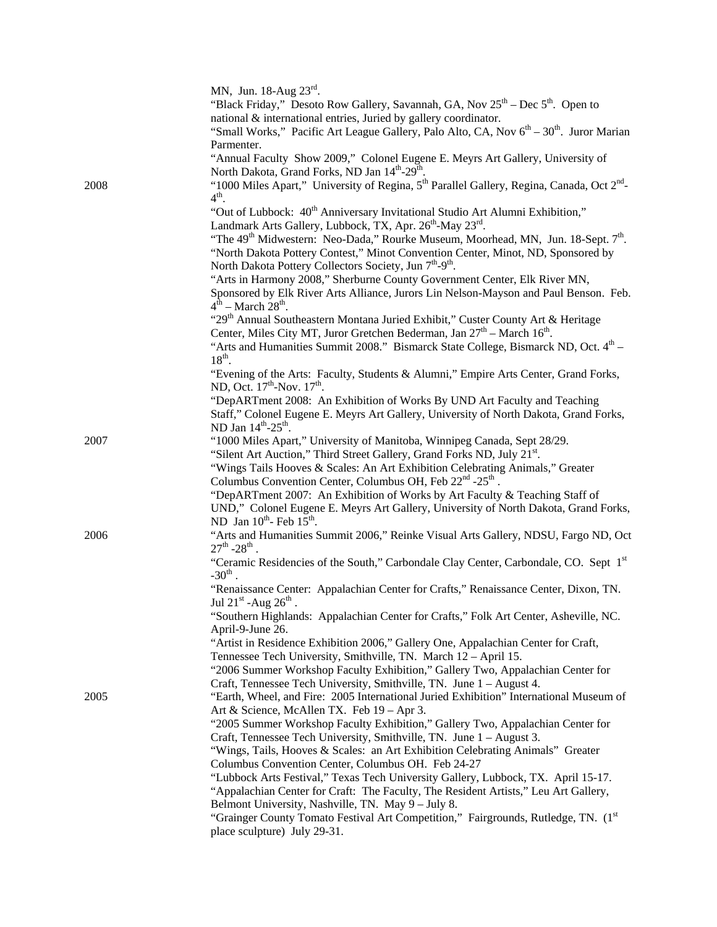|      | MN, Jun. 18-Aug 23rd.                                                                                             |
|------|-------------------------------------------------------------------------------------------------------------------|
|      | "Black Friday," Desoto Row Gallery, Savannah, GA, Nov $25^{th}$ – Dec $5^{th}$ . Open to                          |
|      | national & international entries, Juried by gallery coordinator.                                                  |
|      | "Small Works," Pacific Art League Gallery, Palo Alto, CA, Nov 6 <sup>th</sup> - 30 <sup>th</sup> . Juror Marian   |
|      | Parmenter.                                                                                                        |
|      | "Annual Faculty Show 2009," Colonel Eugene E. Meyrs Art Gallery, University of                                    |
|      | North Dakota, Grand Forks, ND Jan 14th-29 <sup>th</sup> .                                                         |
| 2008 | "1000 Miles Apart," University of Regina, 5 <sup>th</sup> Parallel Gallery, Regina, Canada, Oct 2 <sup>nd</sup> - |
|      | $4^{\text{th}}$ .                                                                                                 |
|      | "Out of Lubbock: 40 <sup>th</sup> Anniversary Invitational Studio Art Alumni Exhibition,"                         |
|      | Landmark Arts Gallery, Lubbock, TX, Apr. 26 <sup>th</sup> -May 23 <sup>rd</sup> .                                 |
|      | "The 49 <sup>th</sup> Midwestern: Neo-Dada," Rourke Museum, Moorhead, MN, Jun. 18-Sept. 7 <sup>th</sup> .         |
|      | "North Dakota Pottery Contest," Minot Convention Center, Minot, ND, Sponsored by                                  |
|      | North Dakota Pottery Collectors Society, Jun 7 <sup>th</sup> -9 <sup>th</sup> .                                   |
|      |                                                                                                                   |
|      | "Arts in Harmony 2008," Sherburne County Government Center, Elk River MN,                                         |
|      | Sponsored by Elk River Arts Alliance, Jurors Lin Nelson-Mayson and Paul Benson. Feb.                              |
|      | $4th$ – March 28 <sup>th</sup> .                                                                                  |
|      | "29 <sup>th</sup> Annual Southeastern Montana Juried Exhibit," Custer County Art & Heritage                       |
|      | Center, Miles City MT, Juror Gretchen Bederman, Jan 27 <sup>th</sup> – March 16 <sup>th</sup> .                   |
|      | "Arts and Humanities Summit 2008." Bismarck State College, Bismarck ND, Oct. 4th –                                |
|      | $18^{th}$ .                                                                                                       |
|      | "Evening of the Arts: Faculty, Students & Alumni," Empire Arts Center, Grand Forks,                               |
|      | ND, Oct. $17^{th}$ -Nov. $17^{th}$ .                                                                              |
|      | "DepARTment 2008: An Exhibition of Works By UND Art Faculty and Teaching                                          |
|      | Staff," Colonel Eugene E. Meyrs Art Gallery, University of North Dakota, Grand Forks,                             |
|      | ND Jan 14th-25th.                                                                                                 |
| 2007 | "1000 Miles Apart," University of Manitoba, Winnipeg Canada, Sept 28/29.                                          |
|      | "Silent Art Auction," Third Street Gallery, Grand Forks ND, July 21st.                                            |
|      | "Wings Tails Hooves & Scales: An Art Exhibition Celebrating Animals," Greater                                     |
|      | Columbus Convention Center, Columbus OH, Feb 22 <sup>nd</sup> -25 <sup>th</sup> .                                 |
|      | "DepARTment 2007: An Exhibition of Works by Art Faculty & Teaching Staff of                                       |
|      | UND," Colonel Eugene E. Meyrs Art Gallery, University of North Dakota, Grand Forks,                               |
|      | ND Jan $10^{th}$ - Feb $15^{th}$ .                                                                                |
| 2006 | "Arts and Humanities Summit 2006," Reinke Visual Arts Gallery, NDSU, Fargo ND, Oct                                |
|      | $27^{th}$ -28 <sup>th</sup> .                                                                                     |
|      | "Ceramic Residencies of the South," Carbondale Clay Center, Carbondale, CO. Sept 1st                              |
|      | $-30^{th}$ .                                                                                                      |
|      | "Renaissance Center: Appalachian Center for Crafts," Renaissance Center, Dixon, TN.                               |
|      | Jul 21st -Aug $26^{\text{th}}$ .                                                                                  |
|      | "Southern Highlands: Appalachian Center for Crafts," Folk Art Center, Asheville, NC.                              |
|      | April-9-June 26.                                                                                                  |
|      | "Artist in Residence Exhibition 2006," Gallery One, Appalachian Center for Craft,                                 |
|      | Tennessee Tech University, Smithville, TN. March 12 - April 15.                                                   |
|      | "2006 Summer Workshop Faculty Exhibition," Gallery Two, Appalachian Center for                                    |
|      | Craft, Tennessee Tech University, Smithville, TN. June 1 - August 4.                                              |
| 2005 | "Earth, Wheel, and Fire: 2005 International Juried Exhibition" International Museum of                            |
|      | Art & Science, McAllen TX. Feb 19 - Apr 3.                                                                        |
|      | "2005 Summer Workshop Faculty Exhibition," Gallery Two, Appalachian Center for                                    |
|      | Craft, Tennessee Tech University, Smithville, TN. June 1 - August 3.                                              |
|      | "Wings, Tails, Hooves & Scales: an Art Exhibition Celebrating Animals" Greater                                    |
|      | Columbus Convention Center, Columbus OH. Feb 24-27                                                                |
|      | "Lubbock Arts Festival," Texas Tech University Gallery, Lubbock, TX. April 15-17.                                 |
|      | "Appalachian Center for Craft: The Faculty, The Resident Artists," Leu Art Gallery,                               |
|      | Belmont University, Nashville, TN. May 9 - July 8.                                                                |
|      | "Grainger County Tomato Festival Art Competition," Fairgrounds, Rutledge, TN. (1st                                |
|      | place sculpture) July 29-31.                                                                                      |
|      |                                                                                                                   |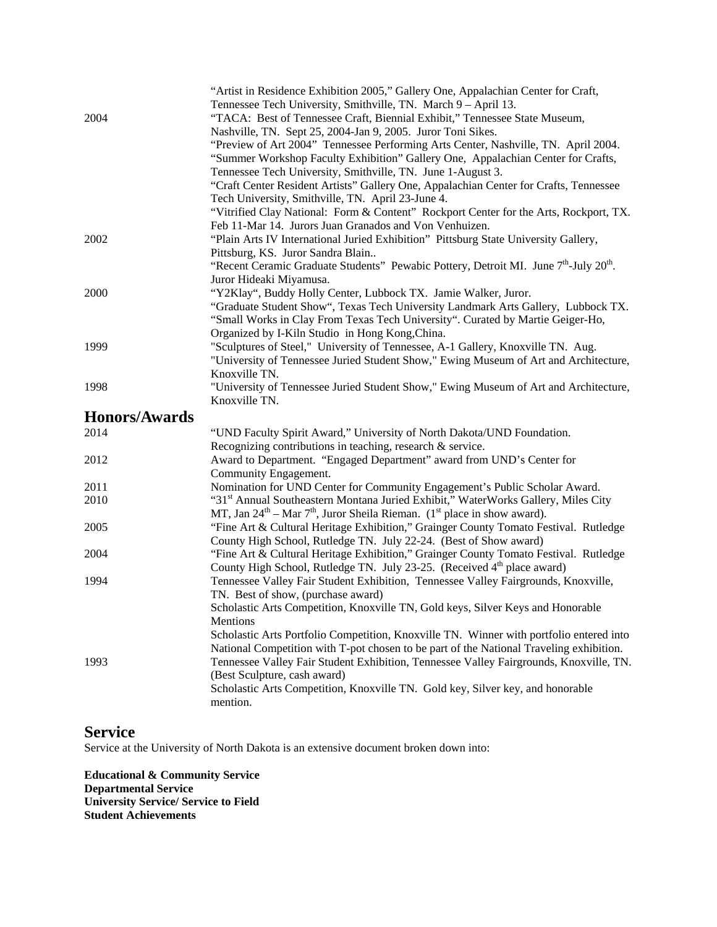|                      | "Artist in Residence Exhibition 2005," Gallery One, Appalachian Center for Craft,                             |
|----------------------|---------------------------------------------------------------------------------------------------------------|
|                      | Tennessee Tech University, Smithville, TN. March 9 - April 13.                                                |
| 2004                 | "TACA: Best of Tennessee Craft, Biennial Exhibit," Tennessee State Museum,                                    |
|                      | Nashville, TN. Sept 25, 2004-Jan 9, 2005. Juror Toni Sikes.                                                   |
|                      | "Preview of Art 2004" Tennessee Performing Arts Center, Nashville, TN. April 2004.                            |
|                      | "Summer Workshop Faculty Exhibition" Gallery One, Appalachian Center for Crafts,                              |
|                      | Tennessee Tech University, Smithville, TN. June 1-August 3.                                                   |
|                      |                                                                                                               |
|                      | "Craft Center Resident Artists" Gallery One, Appalachian Center for Crafts, Tennessee                         |
|                      | Tech University, Smithville, TN. April 23-June 4.                                                             |
|                      | "Vitrified Clay National: Form & Content" Rockport Center for the Arts, Rockport, TX.                         |
|                      | Feb 11-Mar 14. Jurors Juan Granados and Von Venhuizen.                                                        |
| 2002                 | "Plain Arts IV International Juried Exhibition" Pittsburg State University Gallery,                           |
|                      | Pittsburg, KS. Juror Sandra Blain                                                                             |
|                      | "Recent Ceramic Graduate Students" Pewabic Pottery, Detroit MI. June 7 <sup>th</sup> -July 20 <sup>th</sup> . |
|                      | Juror Hideaki Miyamusa.                                                                                       |
| 2000                 | "Y2Klay", Buddy Holly Center, Lubbock TX. Jamie Walker, Juror.                                                |
|                      | "Graduate Student Show", Texas Tech University Landmark Arts Gallery, Lubbock TX.                             |
|                      | "Small Works in Clay From Texas Tech University". Curated by Martie Geiger-Ho,                                |
|                      | Organized by I-Kiln Studio in Hong Kong, China.                                                               |
| 1999                 | "Sculptures of Steel," University of Tennessee, A-1 Gallery, Knoxville TN. Aug.                               |
|                      | "University of Tennessee Juried Student Show," Ewing Museum of Art and Architecture,                          |
|                      | Knoxville TN.                                                                                                 |
| 1998                 | "University of Tennessee Juried Student Show," Ewing Museum of Art and Architecture,                          |
|                      | Knoxville TN.                                                                                                 |
|                      |                                                                                                               |
|                      |                                                                                                               |
| <b>Honors/Awards</b> |                                                                                                               |
| 2014                 | "UND Faculty Spirit Award," University of North Dakota/UND Foundation.                                        |
|                      | Recognizing contributions in teaching, research & service.                                                    |
| 2012                 | Award to Department. "Engaged Department" award from UND's Center for                                         |
|                      | Community Engagement.                                                                                         |
| 2011                 | Nomination for UND Center for Community Engagement's Public Scholar Award.                                    |
| 2010                 | "31 <sup>st</sup> Annual Southeastern Montana Juried Exhibit," WaterWorks Gallery, Miles City                 |
|                      | MT, Jan $24^{\text{th}}$ – Mar $7^{\text{th}}$ , Juror Sheila Rieman. (1 <sup>st</sup> place in show award).  |
| 2005                 | "Fine Art & Cultural Heritage Exhibition," Grainger County Tomato Festival. Rutledge                          |
|                      | County High School, Rutledge TN. July 22-24. (Best of Show award)                                             |
| 2004                 | "Fine Art & Cultural Heritage Exhibition," Grainger County Tomato Festival. Rutledge                          |
|                      | County High School, Rutledge TN. July 23-25. (Received 4 <sup>th</sup> place award)                           |
| 1994                 | Tennessee Valley Fair Student Exhibition, Tennessee Valley Fairgrounds, Knoxville,                            |
|                      | TN. Best of show, (purchase award)                                                                            |
|                      | Scholastic Arts Competition, Knoxville TN, Gold keys, Silver Keys and Honorable                               |
|                      | Mentions                                                                                                      |
|                      | Scholastic Arts Portfolio Competition, Knoxville TN. Winner with portfolio entered into                       |
|                      | National Competition with T-pot chosen to be part of the National Traveling exhibition.                       |
| 1993                 | Tennessee Valley Fair Student Exhibition, Tennessee Valley Fairgrounds, Knoxville, TN.                        |
|                      | (Best Sculpture, cash award)                                                                                  |
|                      | Scholastic Arts Competition, Knoxville TN. Gold key, Silver key, and honorable<br>mention.                    |

### **Service**

Service at the University of North Dakota is an extensive document broken down into:

**Educational & Community Service Departmental Service University Service/ Service to Field Student Achievements**